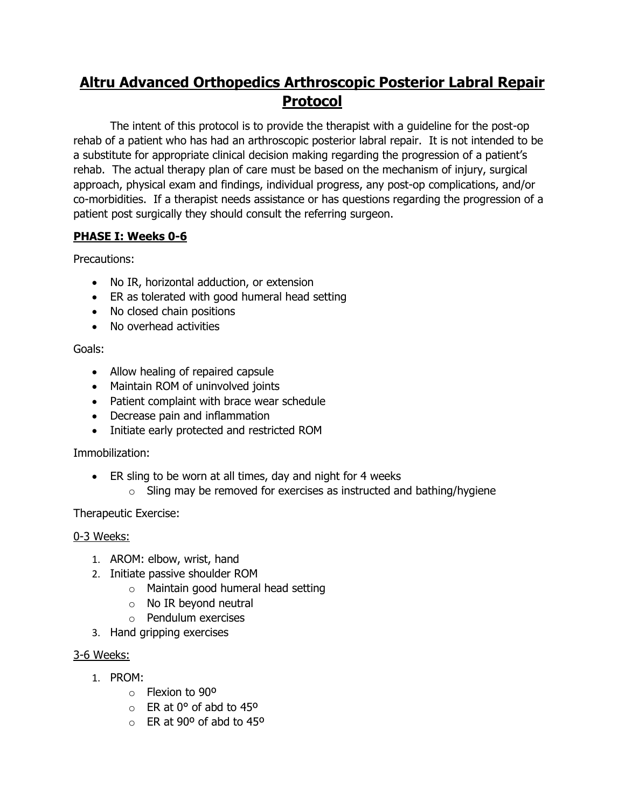# **Altru Advanced Orthopedics Arthroscopic Posterior Labral Repair Protocol**

The intent of this protocol is to provide the therapist with a guideline for the post-op rehab of a patient who has had an arthroscopic posterior labral repair. It is not intended to be a substitute for appropriate clinical decision making regarding the progression of a patient's rehab. The actual therapy plan of care must be based on the mechanism of injury, surgical approach, physical exam and findings, individual progress, any post-op complications, and/or co-morbidities. If a therapist needs assistance or has questions regarding the progression of a patient post surgically they should consult the referring surgeon.

## **PHASE I: Weeks 0-6**

Precautions:

- No IR, horizontal adduction, or extension
- ER as tolerated with good humeral head setting
- No closed chain positions
- No overhead activities

## Goals:

- Allow healing of repaired capsule
- Maintain ROM of uninvolved joints
- Patient complaint with brace wear schedule
- Decrease pain and inflammation
- Initiate early protected and restricted ROM

## Immobilization:

- ER sling to be worn at all times, day and night for 4 weeks
	- $\circ$  Sling may be removed for exercises as instructed and bathing/hygiene

## Therapeutic Exercise:

## 0-3 Weeks:

- 1. AROM: elbow, wrist, hand
- 2. Initiate passive shoulder ROM
	- o Maintain good humeral head setting
	- o No IR beyond neutral
	- o Pendulum exercises
- 3. Hand gripping exercises

## 3-6 Weeks:

- 1. PROM:
	- o Flexion to 90º
	- $\circ$  ER at 0 $\degree$  of abd to 45 $\degree$
	- $\circ$  FR at 90<sup>o</sup> of abd to 45<sup>o</sup>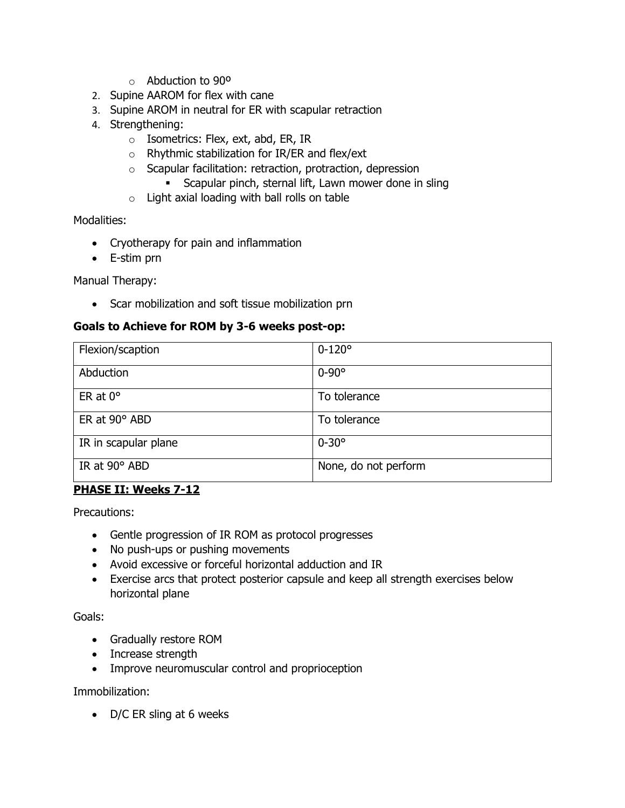- o Abduction to 90º
- 2. Supine AAROM for flex with cane
- 3. Supine AROM in neutral for ER with scapular retraction
- 4. Strengthening:
	- o Isometrics: Flex, ext, abd, ER, IR
	- o Rhythmic stabilization for IR/ER and flex/ext
	- o Scapular facilitation: retraction, protraction, depression
		- Scapular pinch, sternal lift, Lawn mower done in sling
	- $\circ$  Light axial loading with ball rolls on table

Modalities:

- Cryotherapy for pain and inflammation
- E-stim prn

Manual Therapy:

• Scar mobilization and soft tissue mobilization prn

#### **Goals to Achieve for ROM by 3-6 weeks post-op:**

| Flexion/scaption     | $0 - 120^{\circ}$    |
|----------------------|----------------------|
| Abduction            | $0 - 90^{\circ}$     |
| ER at $0^\circ$      | To tolerance         |
| ER at $90^\circ$ ABD | To tolerance         |
| IR in scapular plane | $0 - 30^{\circ}$     |
| IR at 90° ABD        | None, do not perform |

#### **PHASE II: Weeks 7-12**

Precautions:

- Gentle progression of IR ROM as protocol progresses
- No push-ups or pushing movements
- Avoid excessive or forceful horizontal adduction and IR
- Exercise arcs that protect posterior capsule and keep all strength exercises below horizontal plane

Goals:

- Gradually restore ROM
- Increase strength
- Improve neuromuscular control and proprioception

Immobilization:

• D/C ER sling at 6 weeks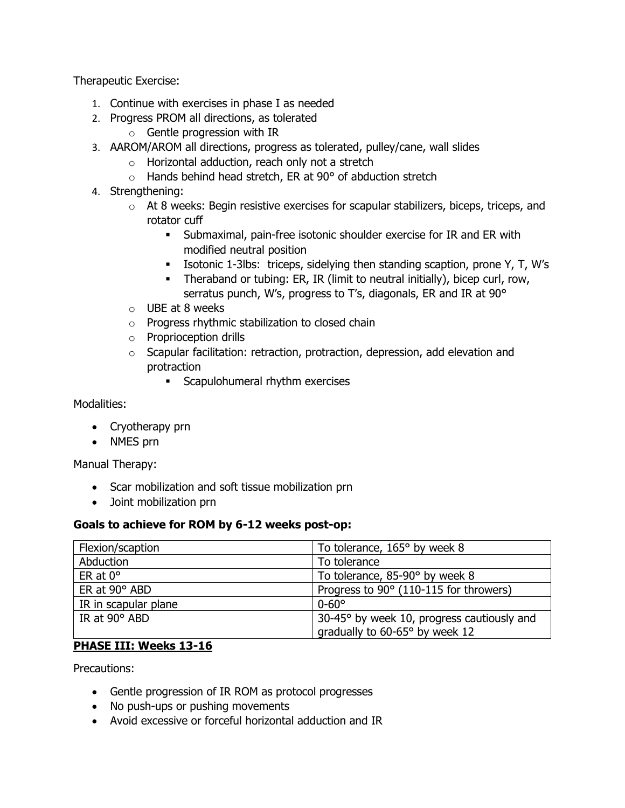Therapeutic Exercise:

- 1. Continue with exercises in phase I as needed
- 2. Progress PROM all directions, as tolerated
	- o Gentle progression with IR
- 3. AAROM/AROM all directions, progress as tolerated, pulley/cane, wall slides
	- o Horizontal adduction, reach only not a stretch
	- $\circ$  Hands behind head stretch, ER at 90 $\degree$  of abduction stretch
- 4. Strengthening:
	- o At 8 weeks: Begin resistive exercises for scapular stabilizers, biceps, triceps, and rotator cuff
		- **EXEDER** Submaximal, pain-free isotonic shoulder exercise for IR and ER with modified neutral position
		- Isotonic 1-3lbs: triceps, sidelying then standing scaption, prone Y, T, W's
		- Theraband or tubing: ER, IR (limit to neutral initially), bicep curl, row, serratus punch, W's, progress to T's, diagonals, ER and IR at 90°
	- o UBE at 8 weeks
	- o Progress rhythmic stabilization to closed chain
	- o Proprioception drills
	- $\circ$  Scapular facilitation: retraction, protraction, depression, add elevation and protraction
		- **EXEC** Scapulohumeral rhythm exercises

Modalities:

- Cryotherapy prn
- NMES prn

Manual Therapy:

- Scar mobilization and soft tissue mobilization prn
- Joint mobilization prn

#### **Goals to achieve for ROM by 6-12 weeks post-op:**

| Flexion/scaption     | To tolerance, 165° by week 8               |
|----------------------|--------------------------------------------|
| Abduction            | To tolerance                               |
| ER at $0^\circ$      | To tolerance, 85-90° by week 8             |
| ER at 90° ABD        | Progress to 90° (110-115 for throwers)     |
| IR in scapular plane | $0 - 60^{\circ}$                           |
| IR at $90^\circ$ ABD | 30-45° by week 10, progress cautiously and |
|                      | gradually to 60-65° by week 12             |

## **PHASE III: Weeks 13-16**

Precautions:

- Gentle progression of IR ROM as protocol progresses
- No push-ups or pushing movements
- Avoid excessive or forceful horizontal adduction and IR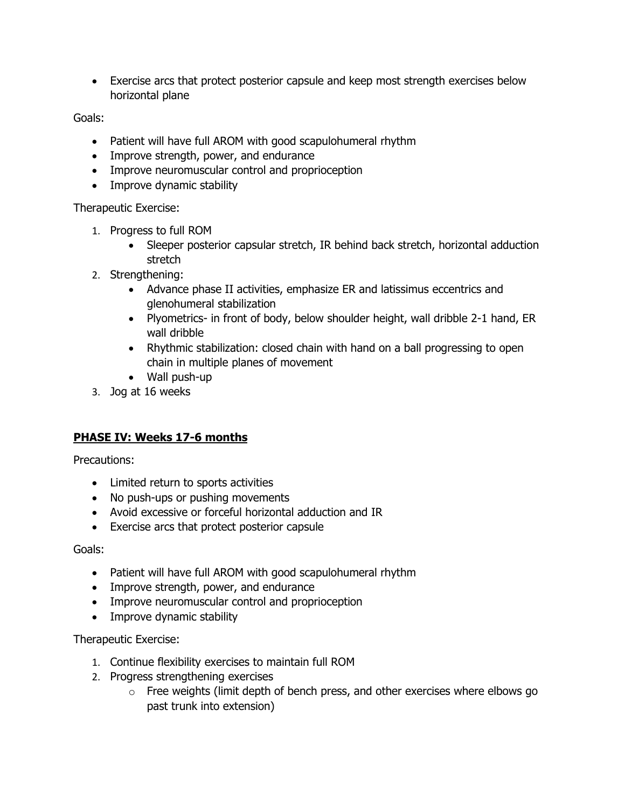• Exercise arcs that protect posterior capsule and keep most strength exercises below horizontal plane

Goals:

- Patient will have full AROM with good scapulohumeral rhythm
- Improve strength, power, and endurance
- Improve neuromuscular control and proprioception
- Improve dynamic stability

Therapeutic Exercise:

- 1. Progress to full ROM
	- Sleeper posterior capsular stretch, IR behind back stretch, horizontal adduction stretch
- 2. Strengthening:
	- Advance phase II activities, emphasize ER and latissimus eccentrics and glenohumeral stabilization
	- Plyometrics- in front of body, below shoulder height, wall dribble 2-1 hand, ER wall dribble
	- Rhythmic stabilization: closed chain with hand on a ball progressing to open chain in multiple planes of movement
	- Wall push-up
- 3. Jog at 16 weeks

## **PHASE IV: Weeks 17-6 months**

Precautions:

- Limited return to sports activities
- No push-ups or pushing movements
- Avoid excessive or forceful horizontal adduction and IR
- Exercise arcs that protect posterior capsule

Goals:

- Patient will have full AROM with good scapulohumeral rhythm
- Improve strength, power, and endurance
- Improve neuromuscular control and proprioception
- Improve dynamic stability

Therapeutic Exercise:

- 1. Continue flexibility exercises to maintain full ROM
- 2. Progress strengthening exercises
	- o Free weights (limit depth of bench press, and other exercises where elbows go past trunk into extension)